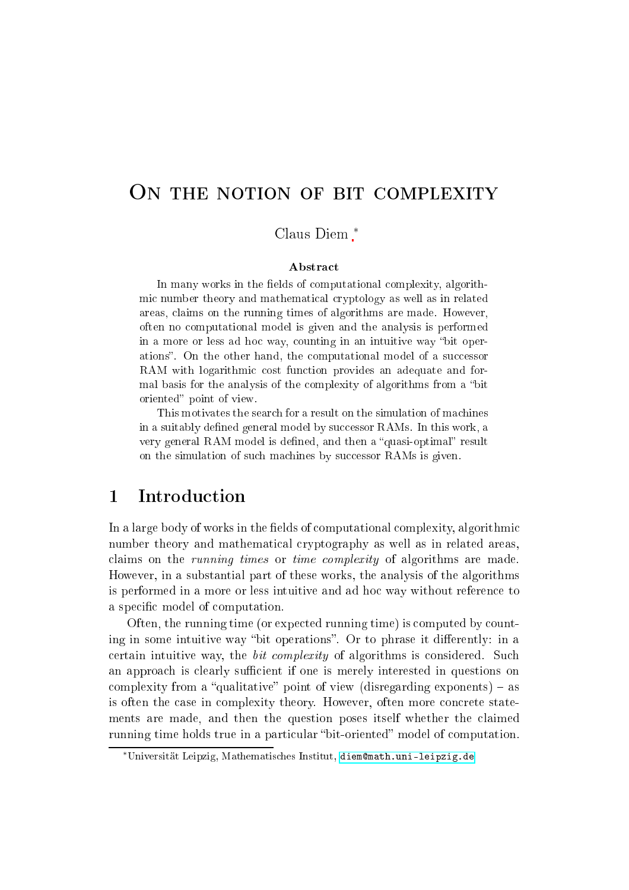# ON THE NOTION OF BIT COMPLEXITY

Claus Diem ∗

#### **Abstract**

In many works in the fields of computational complexity, algorithmic number theory and mathematical cryptology as well as in related areas, laims on the running times of algorithms are made. However, often no omputational model is given and the analysis is performed in a more or less ad hoc way, counting in an intuitive way "bit operations". On the other hand, the computational model of a successor RAM with logarithmic cost function provides an adequate and formal basis for the analysis of the complexity of algorithms from a "bit" oriented" point of view.

This motivates the search for a result on the simulation of machines in a suitably defined general model by successor RAMs. In this work, a very general RAM model is defined, and then a "quasi-optimal" result on the simulation of such machines by successor RAMs is given.

### <sup>1</sup> Introdu
tion

In a large body of works in the fields of computational complexity, algorithmic number theory and mathematical cryptography as well as in related areas. claims on the *running times* or *time complexity* of algorithms are made. However, in a substantial part of these works, the analysis of the algorithms is performed in a more or less intuitive and ad hoc way without reference to a specific model of computation.

Often, the running time (or expe
ted running time) is omputed by ounting in some intuitive way "bit operations". Or to phrase it differently: in a certain intuitive way, the *bit complexity* of algorithms is considered. Such an approach is clearly sufficient if one is merely interested in questions on complexity from a "qualitative" point of view (disregarding exponents)  $-$  as is often the case in complexity theory. However, often more concrete statements are made, and then the question poses itself whether the laimed running time holds true in a particular "bit-oriented" model of computation.

<sup>∗</sup>Universität Leipzig, Mathematis
hes Institut, [diemmath.uni-leipzig.de](diem@math.uni-leipzig.de)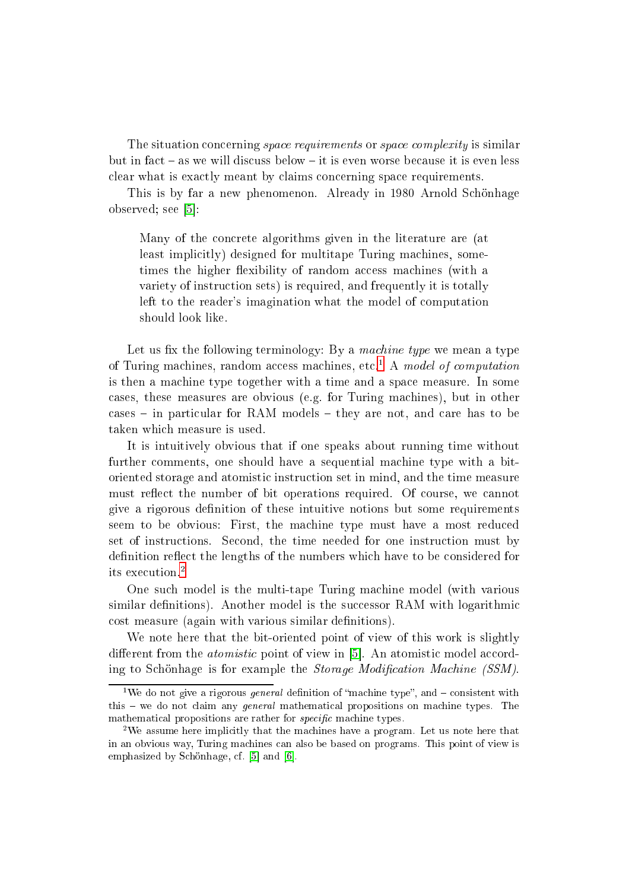The situation concerning *space requirements* or *space complexity* is similar but in fact – as we will discuss below – it is even worse because it is even less lear what is exa
tly meant by laims on
erning spa
e requirements.

This is by far a new phenomenon. Already in 1980 Arnold S
hönhage observed; see  $[5]$ :

Many of the concrete algorithms given in the literature are (at least implicitly) designed for multitape Turing machines, sometimes the higher flexibility of random access machines (with a variety of instruction sets) is required, and frequently it is totally left to the reader's imagination what the model of computation should look like.

Let us fix the following terminology: By a machine type we mean a type of Turing machines, random access machines, etc.<sup>1</sup> A model of computation is then a ma
hine type together with a time and a spa
e measure. In some ases, these measures are obvious (e.g. for Turing ma
hines), but in other  $cases$  - in particular for RAM models - they are not, and care has to be taken whi
h measure is used.

It is intuitively obvious that if one speaks about running time without further omments, one should have a sequential ma
hine type with a bitoriented storage and atomistic instruction set in mind, and the time measure must reflect the number of bit operations required. Of course, we cannot give a rigorous definition of these intuitive notions but some requirements seem to be obvious: First, the machine type must have a most reduced set of instructions. Second, the time needed for one instruction must by definition reflect the lengths of the numbers which have to be considered for its execution.<sup>[2](#page-1-1)</sup>

One su
h model is the multi-tape Turing ma
hine model (with various similar definitions). Another model is the successor RAM with logarithmic cost measure (again with various similar definitions).

We note here that the bit-oriented point of view of this work is slightly different from the *atomistic* point of view in  $[5]$ . An atomistic model according to Schönhage is for example the *Storage Modification Machine (SSM)*.

<span id="page-1-0"></span><sup>&</sup>lt;sup>1</sup>We do not give a rigorous *general* definition of "machine type", and  $\overline{\phantom{a}}$  consistent with this  $-$  we do not claim any *general* mathematical propositions on machine types. The mathematical propositions are rather for *specific* machine types.

<span id="page-1-1"></span><sup>&</sup>lt;sup>2</sup>We assume here implicitly that the machines have a program. Let us note here that in an obvious way, Turing ma
hines an also be based on programs. This point of view is emphasized by Schönhage, cf.  $[5]$  and  $[6]$ .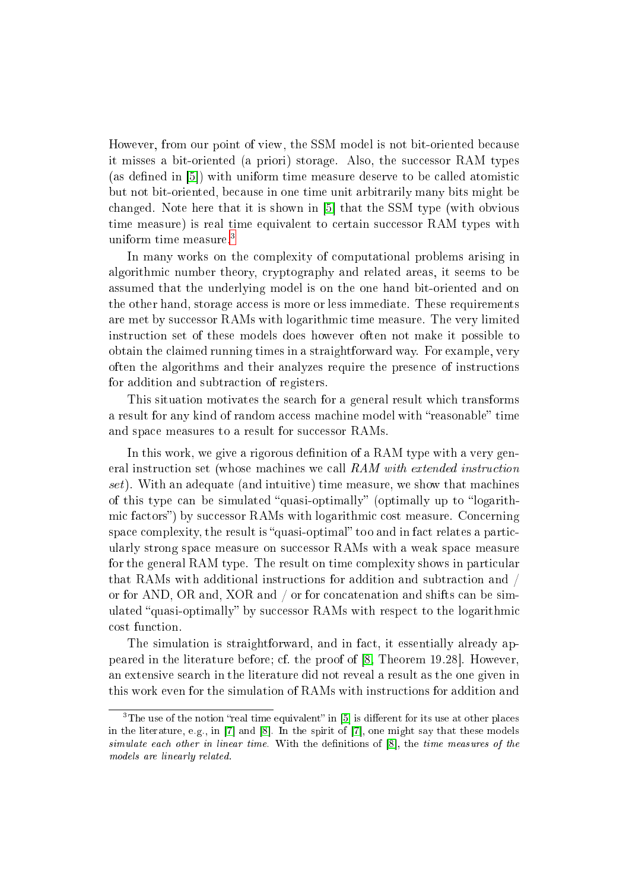However, from our point of view, the SSM model is not bit-oriented be
ause it misses a bit-oriented (a priori) storage. Also, the successor RAM types (as defined in  $[5]$ ) with uniform time measure deserve to be called atomistic but not bit-oriented, be
ause in one time unit arbitrarily many bits might be changed. Note here that it is shown in  $[5]$  that the SSM type (with obvious time measure) is real time equivalent to certain successor RAM types with uniform time measure.<sup>[3](#page-2-0)</sup>

In many works on the complexity of computational problems arising in algorithmi number theory, ryptography and related areas, it seems to be assumed that the underlying model is on the one hand bit-oriented and on the other hand, storage access is more or less immediate. These requirements are met by successor RAMs with logarithmic time measure. The very limited instru
tion set of these models does however often not make it possible to obtain the laimed running times in a straightforward way. For example, very often the algorithms and their analyzes require the presen
e of instru
tions for addition and subtraction of registers.

This situation motivates the sear
h for a general result whi
h transforms a result for any kind of random access machine model with "reasonable" time and space measures to a result for successor RAMs.

In this work, we give a rigorous definition of a RAM type with a very general instruction set (whose machines we call RAM with extended instruction set). With an adequate (and intuitive) time measure, we show that machines of this type can be simulated "quasi-optimally" (optimally up to "logarithmic factors") by successor RAMs with logarithmic cost measure. Concerning space complexity, the result is "quasi-optimal" too and in fact relates a particularly strong space measure on successor RAMs with a weak space measure for the general RAM type. The result on time complexity shows in particular that RAMs with additional instructions for addition and subtraction and / or for AND, OR and, XOR and / or for concatenation and shifts can be simulated "quasi-optimally" by successor RAMs with respect to the logarithmic ost fun
tion.

The simulation is straightforward, and in fact, it essentially already appeared in the literature before; cf. the proof of  $[8,$  Theorem 19.28. However, an extensive sear
h in the literature did not reveal a result as the one given in this work even for the simulation of RAMs with instru
tions for addition and

<span id="page-2-0"></span> $\,$  1 ne use of the notion freal time equivalent  $\,$  in [5] is different for its use at other places  $\,$ in the literature, e.g., in  $[7]$  and  $[8]$ . In the spirit of  $[7]$ , one might say that these models simulate each cime. With times times. With the denitions of [8t] the time measures of the models are linearly related.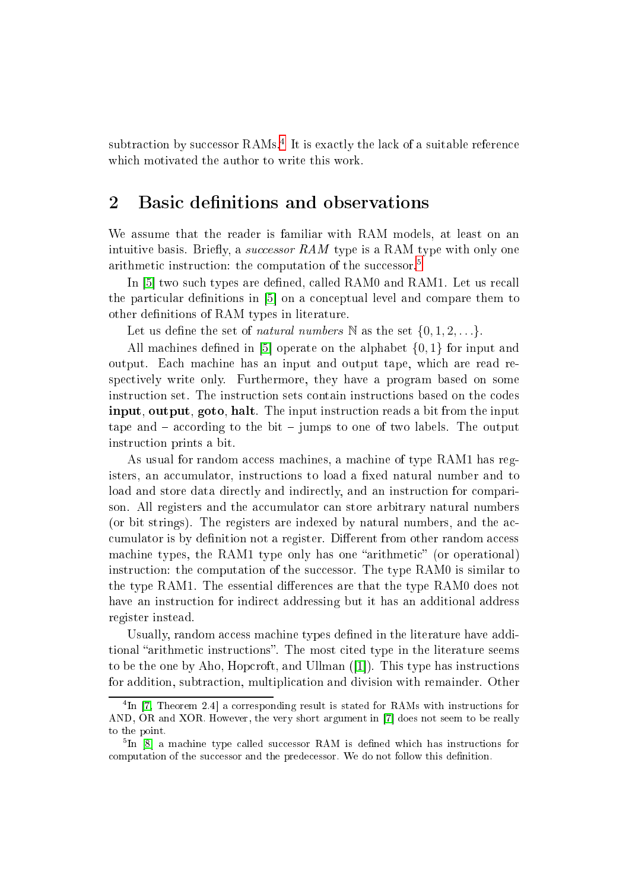subtraction by successor RAMs. Lt is exactly the lack of a suitable reference which motivated the author to write this work.

#### <span id="page-3-2"></span> $\overline{2}$ Basic definitions and observations

We assume that the reader is familiar with RAM models, at least on an intuitive basis. Briefly, a successor RAM type is a RAM type with only one arithmetic instruction: the computation of the successor.<sup>5</sup>

In [5] two such types are defined, called RAM0 and RAM1. Let us recall the particular definitions in  $[5]$  on a conceptual level and compare them to other definitions of RAM types in literature.

Let us define the set of *natural numbers* N as the set  $\{0, 1, 2, \ldots\}$ .

All machines defined in [5] operate on the alphabet  $\{0, 1\}$  for input and output. Each machine has an input and output tape, which are read respe
tively write only. Furthermore, they have a program based on some instru
tion set. The instru
tion sets ontain instru
tions based on the odes **input, output, goto, halt.** The input instruction reads a bit from the input tape and  $-$  according to the bit  $-$  jumps to one of two labels. The output instru
tion prints a bit.

As usual for random access machines, a machine of type RAM1 has registers, an accumulator, instructions to load a fixed natural number and to load and store data directly and indirectly, and an instruction for comparison. All registers and the accumulator can store arbitrary natural numbers (or bit strings). The registers are indexed by natural numbers, and the a
 cumulator is by definition not a register. Different from other random access machine types, the RAM1 type only has one "arithmetic" (or operational) instruction: the computation of the successor. The type RAM0 is similar to the type RAM1. The essential differences are that the type RAM0 does not have an instruction for indirect addressing but it has an additional address register instead.

Usually, random access machine types defined in the literature have additional "arithmetic instructions". The most cited type in the literature seems to be the one by Aho, Hopcroft, and Ullman  $(|1|)$ . This type has instructions for addition, subtra
tion, multipli
ation and division with remainder. Other

<span id="page-3-0"></span>In [\[7,](#page-16-3) I neorem 2.4] a corresponding result is stated for RAMs with instructions for AND, OR and XOR. However, the very short argument in [7] does not seem to be really to the point.

<span id="page-3-1"></span>TH [8] a machine type called successor RAM is defined which has instructions for computation of the successor and the predecessor. We do not follow this definition.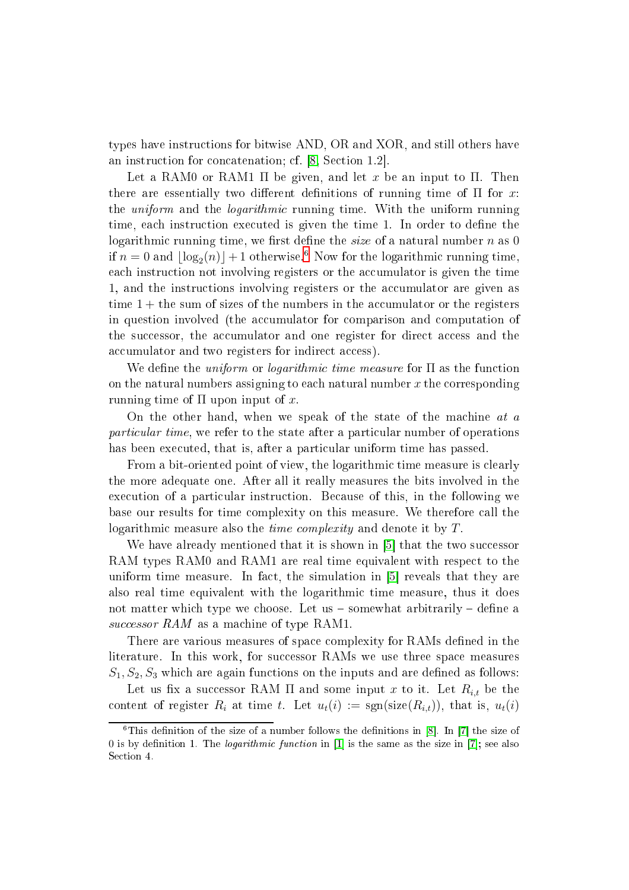types have instru
tions for bitwise AND, OR and XOR, and still others have an instruction for concatenation; cf.  $\lbrack 8, Section 1.2 \rbrack$ .

Let a RAM0 or RAM1  $\Pi$  be given, and let x be an input to  $\Pi$ . Then there are essentially two different definitions of running time of  $\Pi$  for x: the *uniform* and the *logarithmic* running time. With the uniform running time, each instruction executed is given the time 1. In order to define the logarithmic running time, we first define the *size* of a natural number  $n$  as 0 if  $n=0$  and  $\lfloor \log_2(n) \rfloor + 1$  otherwise.<sup>6</sup> Now for the logarithmic running time, each instruction not involving registers or the accumulator is given the time 1, and the instructions involving registers or the accumulator are given as time  $1 +$  the sum of sizes of the numbers in the accumulator or the registers in question involved (the accumulator for comparison and computation of the successor, the accumulator and one register for direct access and the accumulator and two registers for indirect access).

We define the *uniform* or *logarithmic time measure* for  $\Pi$  as the function on the natural numbers assigning to each natural number  $x$  the corresponding running time of  $\Pi$  upon input of x.

On the other hand, when we speak of the state of the machine at a particular time, we refer to the state after a particular number of operations has been executed, that is, after a particular uniform time has passed.

From a bit-oriented point of view, the logarithmic time measure is clearly the more adequate one. After all it really measures the bits involved in the execution of a particular instruction. Because of this, in the following we base our results for time omplexity on this measure. We therefore all the logarithmic measure also the *time complexity* and denote it by T.

We have already mentioned that it is shown in [5] that the two successor RAM types RAM0 and RAM1 are real time equivalent with respect to the uniform time measure. In fact, the simulation in  $[5]$  reveals that they are also real time equivalent with the logarithmi time measure, thus it does not matter which type we choose. Let us  $-$  somewhat arbitrarily  $-$  define a successor RAM as a machine of type RAM1.

There are various measures of space complexity for RAMs defined in the literature. In this work, for successor RAMs we use three space measures  $S_1, S_2, S_3$  which are again functions on the inputs and are defined as follows:

Let us fix a successor RAM  $\Pi$  and some input x to it. Let  $R_{i,t}$  be the content of register  $R_i$  at time t. Let  $u_t(i) := \text{sgn}(\text{size}(R_{i,t}))$ , that is,  $u_t(i)$ 

<span id="page-4-0"></span> $\pm$  1 ms dennition of the size of a number follows the dennitions in [8]. In [7] the size of 0 is by definition 1. The *logarithmic function* in [1] is the same as the size in [7]; see also Section 4.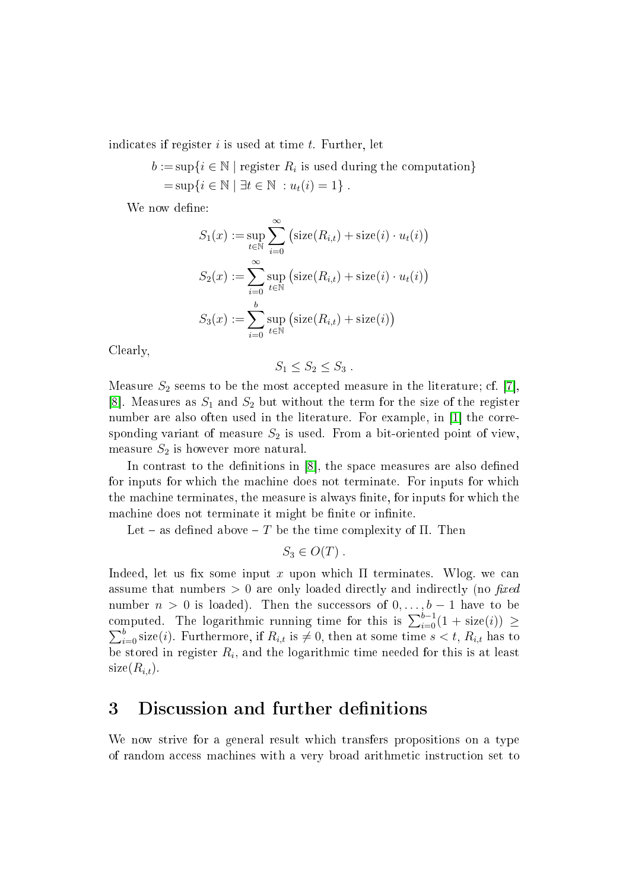indicates if register  $i$  is used at time  $t$ . Further, let

 $b := \sup\{i \in \mathbb{N} \mid \text{register } R_i \text{ is used during the computation}\}\$  $=\sup\{i \in \mathbb{N} \mid \exists t \in \mathbb{N} : u_t(i) = 1\}.$ 

We now define:

$$
S_1(x) := \sup_{t \in \mathbb{N}} \sum_{i=0}^{\infty} \left( \text{size}(R_{i,t}) + \text{size}(i) \cdot u_t(i) \right)
$$
  

$$
S_2(x) := \sum_{i=0}^{\infty} \sup_{t \in \mathbb{N}} \left( \text{size}(R_{i,t}) + \text{size}(i) \cdot u_t(i) \right)
$$
  

$$
S_3(x) := \sum_{i=0}^{b} \sup_{t \in \mathbb{N}} \left( \text{size}(R_{i,t}) + \text{size}(i) \right)
$$

Clearly,

$$
S_1 \leq S_2 \leq S_3.
$$

Measure  $S_2$  seems to be the most accepted measure in the literature; cf. [7], [8]. Measures as  $S_1$  and  $S_2$  but without the term for the size of the register number are also often used in the literature. For example, in  $|1|$  the corresponding variant of measure  $S_2$  is used. From a bit-oriented point of view measure  $S_2$  is however more natural.

In contrast to the definitions in  $[8]$ , the space measures are also defined for inputs for which the machine does not terminate. For inputs for which the machine terminates, the measure is always finite, for inputs for which the machine does not terminate it might be finite or infinite.

Let – as defined above – T be the time complexity of  $\Pi$ . Then

$$
S_3 \in O(T) .
$$

Indeed, let us fix some input x upon which  $\Pi$  terminates. Wlog. we can assume that numbers  $> 0$  are only loaded directly and indirectly (no fixed number  $n > 0$  is loaded). Then the successors of  $0, \ldots, b-1$  have to be computed. The logarithmic running time for this is  $\sum_{i=0}^{b-1}(1+\text{size}(i)) \ge$  $\sum_{i=0}^{b}$  size(*i*). Furthermore, if  $R_{i,t}$  is  $\neq 0$ , then at some time  $s < t$ ,  $R_{i,t}$  has to be stored in register  $R_i$ , and the logarithmic time needed for this is at least  $size(R_{i,t}).$ 

## 3 Discussion and further definitions

We now strive for a general result whi
h transfers propositions on a type of random access machines with a very broad arithmetic instruction set to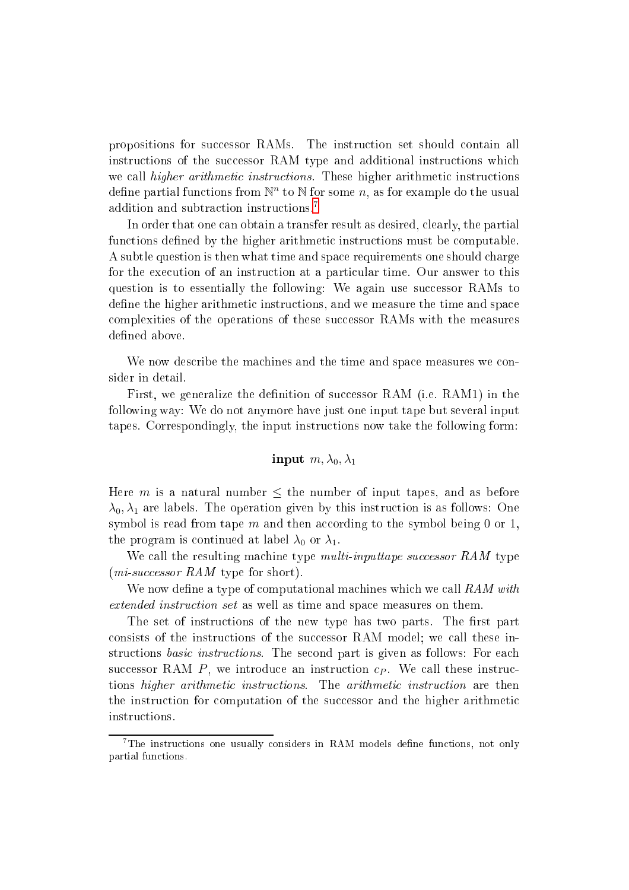propositions for successor RAMs. The instruction set should contain all instructions of the successor RAM type and additional instructions which we call *higher arithmetic instructions*. These higher arithmetic instructions define partial functions from  $\mathbb{N}^n$  to  $\mathbb N$  for some  $n,$  as for example do the usual addition and subtraction instructions.<sup>[7](#page-6-0)</sup>

In order that one can obtain a transfer result as desired, clearly, the partial functions defined by the higher arithmetic instructions must be computable. A subtle question is then what time and spa
e requirements one should harge for the execution of an instruction at a particular time. Our answer to this question is to essentially the following: We again use successor RAMs to define the higher arithmetic instructions, and we measure the time and space complexities of the operations of these successor RAMs with the measures defined above.

We now describe the machines and the time and space measures we consider in detail.

First, we generalize the definition of successor RAM (i.e. RAM1) in the following way: We do not anymore have just one input tape but several input tapes. Correspondingly, the input instru
tions now take the following form:

$$
\textbf{input}\,\, m, \lambda_0, \lambda_1
$$

Here m is a natural number  $\leq$  the number of input tapes, and as before  $\lambda_0, \lambda_1$  are labels. The operation given by this instruction is as follows: One symbol is read from tape m and then according to the symbol being 0 or 1. the program is continued at label  $\lambda_0$  or  $\lambda_1$ .

We call the resulting machine type *multi-inputtape successor RAM* type  $(mi\text{-}successor RAM$  type for short).

We now define a type of computational machines which we call  $RAM$  with extended instru
tion set as well as time and spa
e measures on them.

The set of instructions of the new type has two parts. The first part consists of the instructions of the successor RAM model; we call these instructions *basic instructions*. The second part is given as follows: For each successor RAM  $P$ , we introduce an instruction  $c_P$ . We call these instructions *higher arithmetic instructions*. The *arithmetic instruction* are then the instruction for computation of the successor and the higher arithmetic instru
tions.

<span id="page-6-0"></span><sup>7</sup> The instru
tions one usually onsiders in RAM models dene fun
tions, not only partial fun
tions.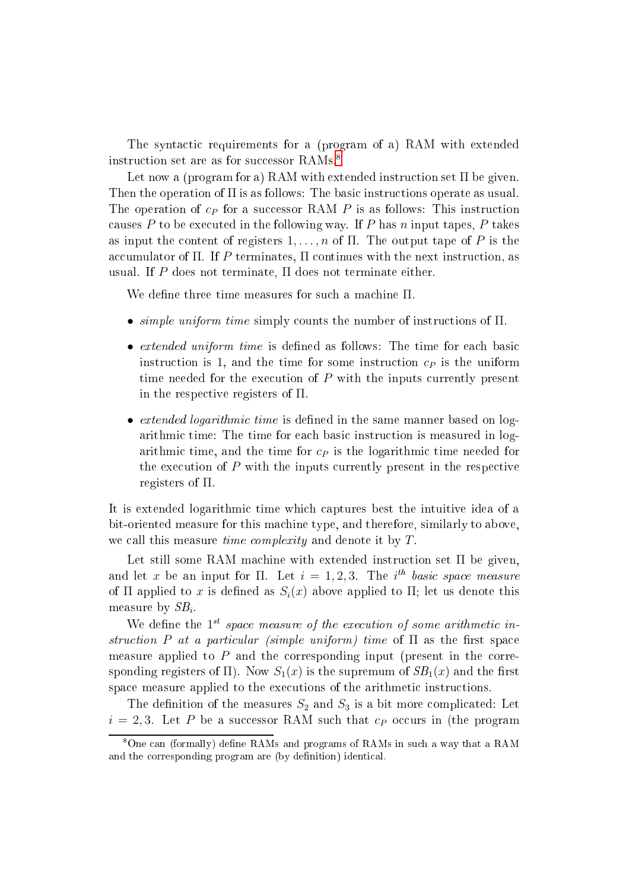The syntactic requirements for a (program of a) RAM with extended instruction set are as for successor RAMs.<sup>8</sup>

Let now a (program for a) RAM with extended instruction set  $\Pi$  be given. Then the operation of  $\Pi$  is as follows: The basic instructions operate as usual. The operation of  $c_P$  for a successor RAM P is as follows: This instruction causes  $P$  to be executed in the following way. If  $P$  has n input tapes,  $P$  takes as input the content of registers  $1, \ldots, n$  of  $\Pi$ . The output tape of P is the accumulator of  $\Pi$ . If P terminates,  $\Pi$  continues with the next instruction, as usual. If P does not terminate,  $\Pi$  does not terminate either.

We define three time measures for such a machine  $\Pi$ .

- $\bullet$  simple uniform time simply counts the number of instructions of  $\Pi$ .
- $\bullet$  extended uniform time is defined as follows: The time for each basic instruction is 1, and the time for some instruction  $c_P$  is the uniform time needed for the execution of  $P$  with the inputs currently present in the respective registers of  $\Pi$ .
- $\bullet$  *extended logarithmic time* is defined in the same manner based on logarithmic time: The time for each basic instruction is measured in logarithmic time, and the time for  $c<sub>P</sub>$  is the logarithmic time needed for the execution of  $P$  with the inputs currently present in the respective registers of Π.

It is extended logarithmic time which captures best the intuitive idea of a bit-oriented measure for this ma
hine type, and therefore, similarly to above, we call this measure *time complexity* and denote it by T.

Let still some RAM machine with extended instruction set  $\Pi$  be given, and let x be an input for  $\Pi$ . Let  $i=1,2,3$ . The  $i^{th}$  basic space measure of  $\Pi$  applied to x is defined as  $S_i(x)$  above applied to  $\Pi$ ; let us denote this  $\mu$ asure by  $\sigma_{\bm{\nu}}$ .

We define the  $1^{st}$  space measure of the execution of some arithmetic instruction P at a particular (simple uniform) time of  $\Pi$  as the first space measure applied to  $P$  and the corresponding input (present in the corresponding registers of  $\Pi$ ). Now  $S_1(x)$  is the supremum of  $SB_1(x)$  and the first space measure applied to the executions of the arithmetic instructions.

The definition of the measures  $S_2$  and  $S_3$  is a bit more complicated: Let  $i = 2, 3$ . Let P be a successor RAM such that  $c_P$  occurs in (the program

<span id="page-7-0"></span><sup>&</sup>lt;sup>8</sup>One can (formally) define RAMs and programs of RAMs in such a way that a RAM and the corresponding program are (by definition) identical.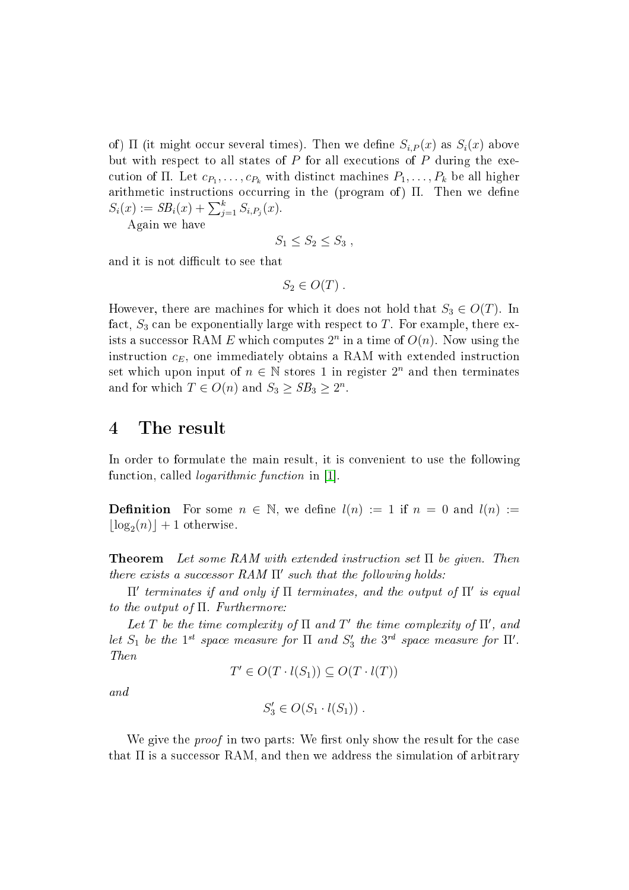of)  $\Pi$  (it might occur several times). Then we define  $S_{i,P}(x)$  as  $S_i(x)$  above but with respect to all states of  $P$  for all executions of  $P$  during the execution of  $\Pi$ . Let  $c_{P_1}, \ldots, c_{P_k}$  with distinct machines  $P_1, \ldots, P_k$  be all higher arithmetic instructions occurring in the (program of) Π. Then we define  $S_i(x) := SB_i(x) + \sum_{j=1}^k S_{i,P_j}(x).$ 

Again we have

$$
S_1 \le S_2 \le S_3 ,
$$

and it is not difficult to see that

 $S_2 \in O(T)$ .

However, there are machines for which it does not hold that  $S_3 \in O(T)$ . In fact,  $S_3$  can be exponentially large with respect to T. For example, there exists a successor RAM  $E$  which computes  $2^n$  in a time of  $O(n)$ . Now using the instruction  $c_E$ , one immediately obtains a RAM with extended instruction set which upon input of  $n \in \mathbb{N}$  stores 1 in register  $2^n$  and then terminates and for which  $T \in O(n)$  and  $S_3 \geq SB_3 \geq 2^n$ .

### <sup>4</sup> The result

In order to formulate the main result, it is onvenient to use the following function, called *logarithmic function* in [1].

**Definition** For some  $n \in \mathbb{N}$ , we define  $l(n) := 1$  if  $n = 0$  and  $l(n) :=$  $\lfloor \log_2(n) \rfloor + 1$  otherwise.

**Theorem** Let some RAM with extended instruction set  $\Pi$  be given. Then there exists a successor  $RAM \Pi'$  such that the following holds:

 $\Pi'$  terminates if and only if  $\Pi$  terminates, and the output of  $\Pi'$  is equal to the output of  $\Pi$ . Furthermore:

Let T be the time complexity of  $\Pi$  and  $T'$  the time complexity of  $\Pi'$ , and let  $S_1$  be the 1<sup>st</sup> space measure for  $\Pi$  and  $S'_3$  the 3<sup>rd</sup> space measure for  $\Pi'$ . Then

$$
T' \in O(T \cdot l(S_1)) \subseteq O(T \cdot l(T))
$$

and

$$
S_3' \in O(S_1 \cdot l(S_1)) \ .
$$

We give the *proof* in two parts: We first only show the result for the case that  $\Pi$  is a successor RAM, and then we address the simulation of arbitrary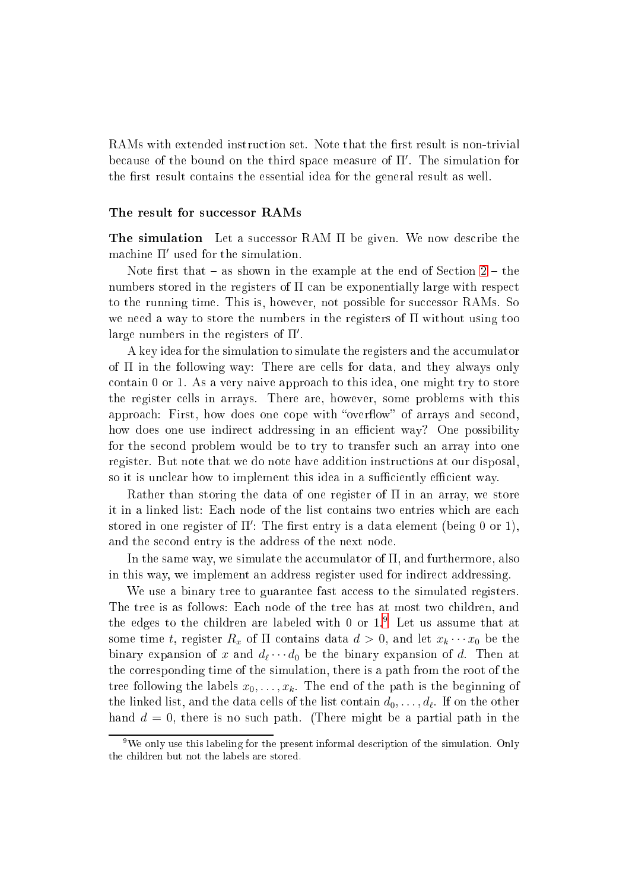RAMs with extended instruction set. Note that the first result is non-trivial be
ause of the bound on the third spa
e measure of Π′ . The simulation for the first result contains the essential idea for the general result as well.

#### The result for successor RAMs

The simulation Let a successor RAM  $\Pi$  be given. We now describe the machine  $\Pi'$  used for the simulation.

Note first that  $-$  as shown in the example at the end of Section  $2$   $-$  the numbers stored in the registers of  $\Pi$  can be exponentially large with respect to the running time. This is, however, not possible for successor RAMs. So we need a way to store the numbers in the registers of  $\Pi$  without using too large numbers in the registers of  $\Pi'$ .

A key idea for the simulation to simulate the registers and the accumulator of Π in the following way: There are ells for data, and they always only contain  $0$  or  $1$ . As a very naive approach to this idea, one might try to store the register ells in arrays. There are, however, some problems with this approach: First, how does one cope with "overflow" of arrays and second, how does one use indirect addressing in an efficient way? One possibility for the se
ond problem would be to try to transfer su
h an array into one register. But note that we do note have addition instru
tions at our disposal, so it is unclear how to implement this idea in a sufficiently efficient way.

Rather than storing the data of one register of  $\Pi$  in an array, we store it in a linked list: Each node of the list contains two entries which are each stored in one register of  $\Pi'$ : The first entry is a data element (being 0 or 1), and the se
ond entry is the address of the next node.

In the same way, we simulate the accumulator of  $\Pi$ , and furthermore, also in this way, we implement an address register used for indire
t addressing.

We use a binary tree to guarantee fast access to the simulated registers. The tree is as follows: Each node of the tree has at most two children, and the edges to the children are labeled with  $0$  or  $1.^\circ$  . Let us assume that at some time t, register  $R_x$  of  $\Pi$  contains data  $d > 0$ , and let  $x_k \cdots x_0$  be the binary expansion of x and  $d_{\ell}\cdots d_0$  be the binary expansion of d. Then at the orresponding time of the simulation, there is a path from the root of the tree following the labels  $x_0, \ldots, x_k$ . The end of the path is the beginning of the linked list, and the data cells of the list contain  $d_0,\ldots,d_\ell.$  If on the other hand  $d = 0$ , there is no such path. (There might be a partial path in the

<span id="page-9-0"></span><sup>&</sup>lt;sup>9</sup>We only use this labeling for the present informal description of the simulation. Only the hildren but not the labels are stored.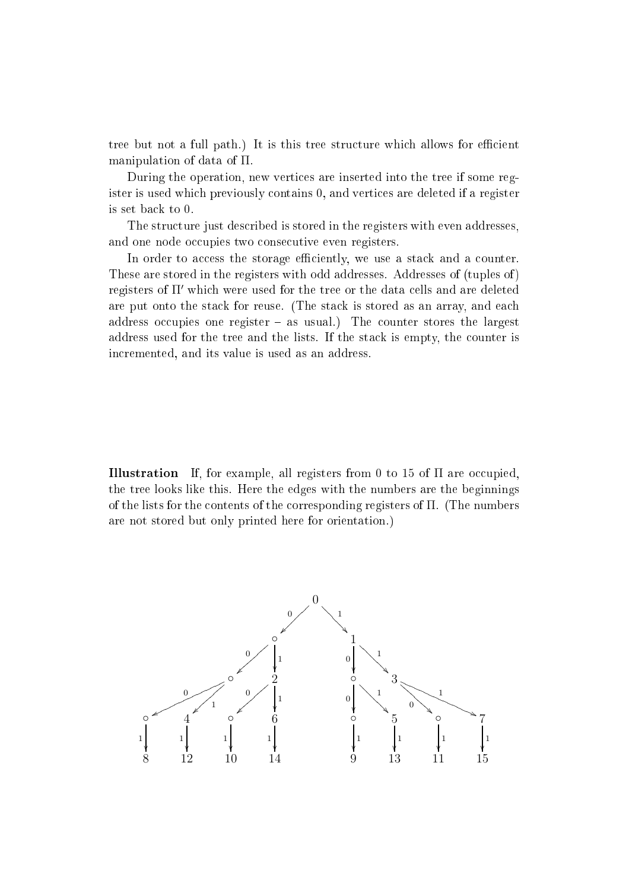tree but not a full path.) It is this tree structure which allows for efficient manipulation of data of Π.

During the operation, new verti
es are inserted into the tree if some register is used whi
h previously ontains 0, and verti
es are deleted if a register is set ba
k to 0.

The structure just described is stored in the registers with even addresses, and one node occupies two consecutive even registers.

In order to access the storage efficiently, we use a stack and a counter. These are stored in the registers with odd addresses. Addresses of (tuples of ) registers of  $\Pi'$  which were used for the tree or the data cells and are deleted are put onto the stack for reuse. (The stack is stored as an array, and each address occupies one register  $-$  as usual.) The counter stores the largest address used for the tree and the lists. If the stack is empty, the counter is in
remented, and its value is used as an address.

**Illustration** If, for example, all registers from 0 to 15 of  $\Pi$  are occupied. the tree looks like this. Here the edges with the numbers are the beginnings of the lists for the ontents of the orresponding registers of Π. (The numbers are not stored but only printed here for orientation.)

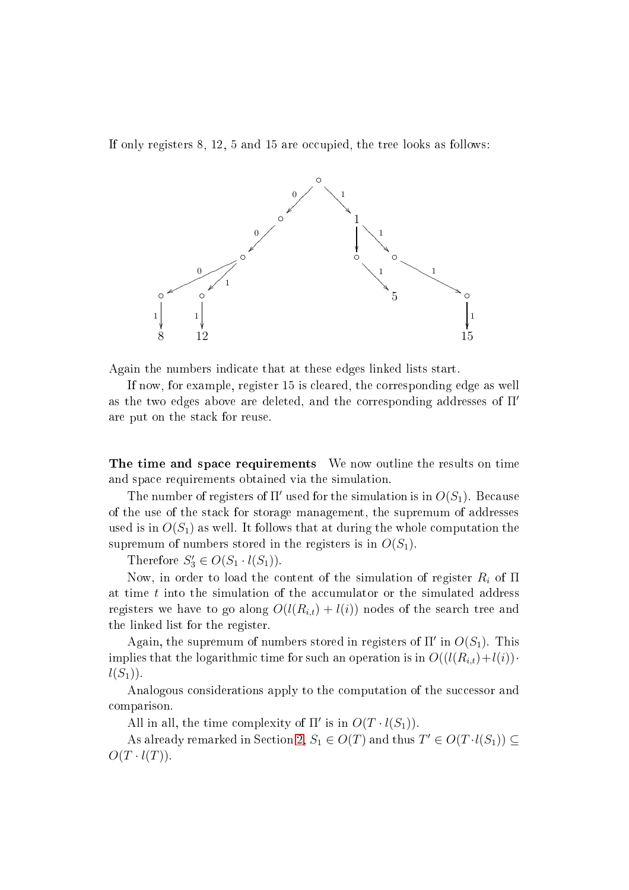If only registers  $8, 12, 5$  and  $15$  are occupied, the tree looks as follows:



Again the numbers indi
ate that at these edges linked lists start.

If now, for example, register 15 is leared, the orresponding edge as well as the two edges above are deleted, and the corresponding addresses of  $\Pi'$ are put on the sta
k for reuse.

The time and space requirements We now outline the results on time and spa
e requirements obtained via the simulation.

The number of registers of  $\Pi'$  used for the simulation is in  $O(S_1)$ . Because of the use of the sta
k for storage management, the supremum of addresses used is in  $O(S_1)$  as well. It follows that at during the whole computation the supremum of numbers stored in the registers is in  $O(S_1)$ .

Therefore  $S'_3 \in O(S_1 \cdot l(S_1))$ .

Now, in order to load the content of the simulation of register  $R_i$  of  $\Pi$ at time  $t$  into the simulation of the accumulator or the simulated address registers we have to go along  $O(l(R_{i,t}) + l(i))$  nodes of the search tree and the linked list for the register.

Again, the supremum of numbers stored in registers of  $\Pi'$  in  $O(S_1)$ . This implies that the logarithmic time for such an operation is in  $O((l(R_{i,t})+l(i))$ .  $l(S_1)$ .

Analogous considerations apply to the computation of the successor and omparison.

All in all, the time complexity of  $\Pi'$  is in  $O(T \cdot l(S_1))$ .

As already remarked in Section [2,](#page-3-2)  $S_1 \in O(T)$  and thus  $T' \in O(T \cdot l(S_1)) \subseteq$  $O(T \cdot l(T)).$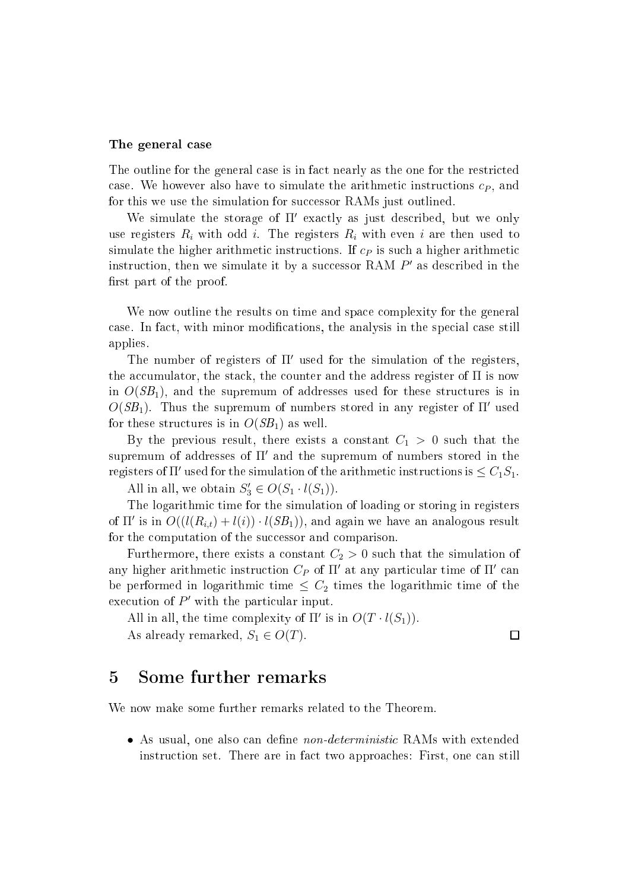#### The general ase

The outline for the general case is in fact nearly as the one for the restricted case. We however also have to simulate the arithmetic instructions  $c_P$ , and for this we use the simulation for successor RAMs just outlined.

We simulate the storage of Π' exactly as just described, but we only use registers  $R_i$  with odd i. The registers  $R_i$  with even i are then used to simulate the higher arithmetic instructions. If  $c<sub>P</sub>$  is such a higher arithmetic instruction, then we simulate it by a successor RAM  $P'$  as described in the first part of the proof.

We now outline the results on time and space complexity for the general ase. In fa
t, with minor modi
ations, the analysis in the spe
ial ase still applies.

The number of registers of  $\Pi'$  used for the simulation of the registers. the accumulator, the stack, the counter and the address register of  $\Pi$  is now in  $O(SB_1)$ , and the supremum of addresses used for these structures is in  $O(SB_1)$ . Thus the supremum of numbers stored in any register of  $\Pi'$  used for these structures is in  $O(SB_1)$  as well.

By the previous result, there exists a constant  $C_1 > 0$  such that the supremum of addresses of  $\Pi'$  and the supremum of numbers stored in the registers of  $\Pi'$  used for the simulation of the arithmetic instructions is  $\leq C_1S_1$ .

All in all, we obtain  $S'_3 \in O(S_1 \cdot l(S_1))$ .

The logarithmic time for the simulation of loading or storing in registers of  $\Pi'$  is in  $O((l(R_{i,t}) + l(i)) \cdot l(SB_1))$ , and again we have an analogous result for the computation of the successor and comparison.

Furthermore, there exists a constant  $C_2 > 0$  such that the simulation of any higher arithmetic instruction  $C_P$  of  $\Pi'$  at any particular time of  $\Pi'$  can be performed in logarithmic time  $\leq C_2$  times the logarithmic time of the execution of  $P'$  with the particular input.

All in all, the time complexity of  $\Pi'$  is in  $O(T \cdot l(S_1))$ . As already remarked,  $S_1 \in O(T)$ .

### $\Box$

### <sup>5</sup> Some further remarks

We now make some further remarks related to the Theorem.

• As usual, one also can define *non-deterministic* RAMs with extended instruction set. There are in fact two approaches: First, one can still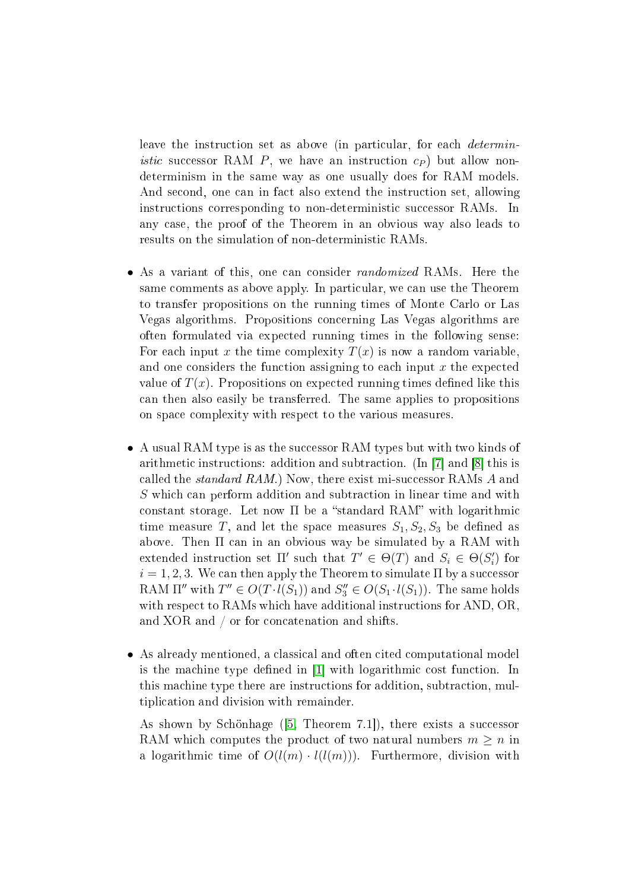leave the instruction set as above (in particular, for each *deterministic* successor RAM P, we have an instruction  $c_P$  but allow nondeterminism in the same way as one usually does for RAM models. And second, one can in fact also extend the instruction set, allowing instructions corresponding to non-deterministic successor RAMs. In any case, the proof of the Theorem in an obvious way also leads to results on the simulation of non-deterministi RAMs.

- As a variant of this, one can consider *randomized* RAMs. Here the same comments as above apply. In particular, we can use the Theorem to transfer propositions on the running times of Monte Carlo or Las Vegas algorithms. Propositions on
erning Las Vegas algorithms are often formulated via expe
ted running times in the following sense: For each input x the time complexity  $T(x)$  is now a random variable, and one considers the function assigning to each input  $x$  the expected value of  $T(x)$ . Propositions on expected running times defined like this an then also easily be transferred. The same applies to propositions on spa
e omplexity with respe
t to the various measures.
- A usual RAM type is as the successor RAM types but with two kinds of arithmetic instructions: addition and subtraction. (In |7| and |8| this is called the *standard RAM*.) Now, there exist mi-successor RAMs  $A$  and S which can perform addition and subtraction in linear time and with constant storage. Let now  $\Pi$  be a "standard RAM" with logarithmic time measure T, and let the space measures  $S_1, S_2, S_3$  be defined as above. Then Π can in an obvious way be simulated by a RAM with extended instruction set  $\Pi'$  such that  $T' \in \Theta(T)$  and  $S_i \in \Theta(S_i')$  $'_{i}$ ) for  $i = 1, 2, 3$ . We can then apply the Theorem to simulate  $\Pi$  by a successor RAM  $\Pi''$  with  $T'' \in O(T \cdot l(S_1))$  and  $S_3'' \in O(S_1 \cdot l(S_1))$ . The same holds with respect to RAMs which have additional instructions for AND, OR, and XOR and  $/$  or for concatenation and shifts.
- As already mentioned, a classical and often cited computational model is the machine type defined in [1] with logarithmic cost function. In this machine type there are instructions for addition, subtraction, multipli
ation and division with remainder.

As shown by Schönhage  $(5,$  Theorem 7.1,), there exists a successor RAM which computes the product of two natural numbers  $m \geq n$  in a logarithmic time of  $O(l(m) \cdot l(l(m)))$ . Furthermore, division with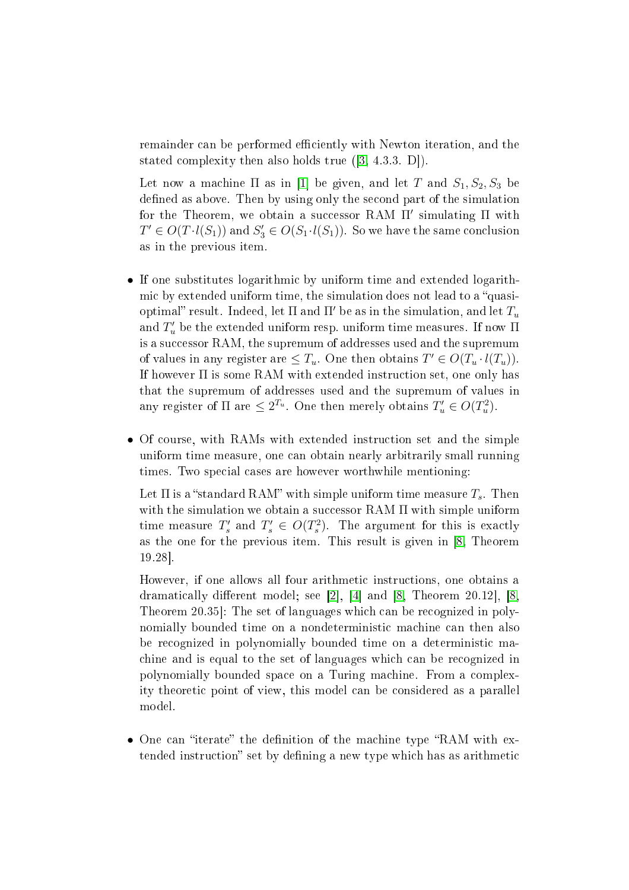remainder can be performed efficiently with Newton iteration, and the stated complexity then also holds true  $([3, 4.3.3, D])$  $([3, 4.3.3, D])$  $([3, 4.3.3, D])$ .

Let now a machine  $\Pi$  as in [1] be given, and let T and  $S_1, S_2, S_3$  be defined as above. Then by using only the second part of the simulation for the Theorem, we obtain a successor RAM  $\Pi'$  simulating  $\Pi$  with  $T' \in O(T \cdot l(S_1))$  and  $S'_3 \in O(S_1 \cdot l(S_1))$ . So we have the same conclusion as in the previous item.

- If one substitutes logarithmi by uniform time and extended logarithmic by extended uniform time, the simulation does not lead to a "quasioptimal" result. Indeed, let  $\Pi$  and  $\Pi'$  be as in the simulation, and let  $T_u$ and  $T'_u$  be the extended uniform resp. uniform time measures. If now  $\Pi$ is a successor RAM, the supremum of addresses used and the supremum of values in any register are  $\leq T_u$ . One then obtains  $T' \in O(T_u \cdot l(T_u))$ . If however  $\Pi$  is some RAM with extended instruction set, one only has that the supremum of addresses used and the supremum of values in any register of  $\Pi$  are  $\leq 2^{T_u}$ . One then merely obtains  $T'_u \in O(T_u^2)$  $\binom{2}{u}$ .
- Of course, with RAMs with extended instruction set and the simple uniform time measure, one can obtain nearly arbitrarily small running times. Two special cases are however worthwhile mentioning:

Let  $\Pi$  is a "standard RAM" with simple uniform time measure  $T_s$ . Then with the simulation we obtain a successor RAM  $\Pi$  with simple uniform time measure  $T'_{s}$  $s'$  and  $T'_s \in O(T_s^2)$  $s^2$ ). The argument for this is exactly as the one for the previous item. This result is given in [\[8,](#page-16-2) Theorem 19.28

However, if one allows all four arithmetic instructions, one obtains a dramatically different model; see [2], [4] and [\[8,](#page-16-2) Theorem 20.12], [8, Theorem 20.35. The set of languages which can be recognized in polynomially bounded time on a nondeterministic machine can then also be re
ognized in polynomially bounded time on a deterministi ma chine and is equal to the set of languages which can be recognized in polynomially bounded spa
e on a Turing ma
hine. From a omplexity theoreti point of view, this model an be onsidered as a parallel model.

• One can "iterate" the definition of the machine type "RAM with extended instruction" set by defining a new type which has as arithmetic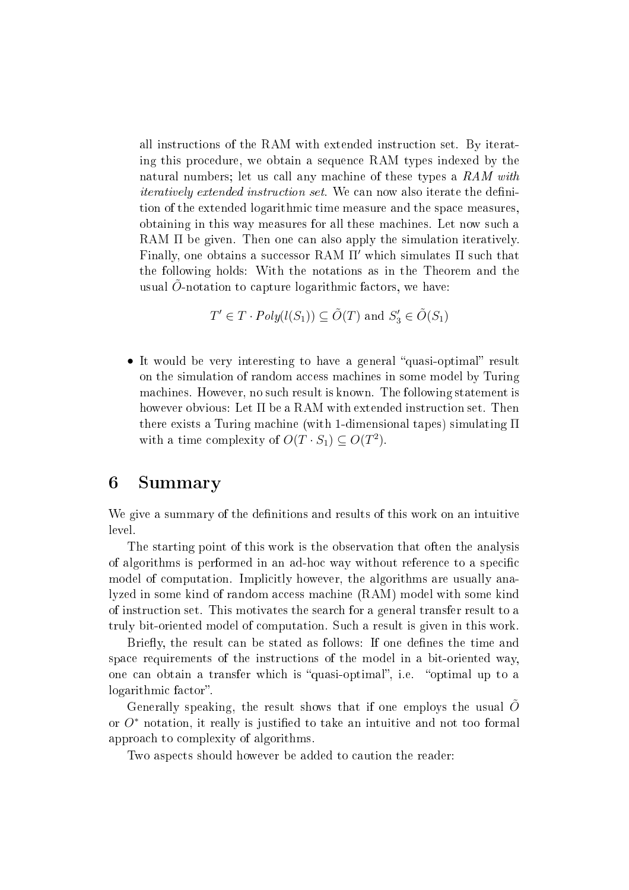all instru
tions of the RAM with extended instru
tion set. By iterating this pro
edure, we obtain a sequen
e RAM types indexed by the natural numbers; let us call any machine of these types a  $RAM$  with *iteratively extended instruction set.* We can now also iterate the definition of the extended logarithmic time measure and the space measures, obtaining in this way measures for all these ma
hines. Let now su
h a RAM Π be given. Then one can also apply the simulation iteratively. Finally, one obtains a successor RAM  $\Pi'$  which simulates  $\Pi$  such that the following holds: With the notations as in the Theorem and the usual  $O$ -notation to capture logarithmic factors, we have:

$$
T' \in T \cdot Poly(l(S_1)) \subseteq \tilde{O}(T)
$$
 and  $S'_3 \in \tilde{O}(S_1)$ 

• It would be very interesting to have a general "quasi-optimal" result on the simulation of random access machines in some model by Turing ma
hines. However, no su
h result is known. The following statement is however obvious: Let  $\Pi$  be a RAM with extended instruction set. Then there exists a Turing ma
hine (with 1-dimensional tapes) simulating Π with a time complexity of  $O(T \cdot S_1) \subseteq O(T^2)$ .

### <sup>6</sup> Summary

We give a summary of the definitions and results of this work on an intuitive

The starting point of this work is the observation that often the analysis of algorithms is performed in an ad-hoc way without reference to a specific model of computation. Implicitly however, the algorithms are usually analyzed in some kind of random access machine (RAM) model with some kind of instru
tion set. This motivates the sear
h for a general transfer result to a truly bit-oriented model of omputation. Su
h a result is given in this work.

Briefly, the result can be stated as follows: If one defines the time and spa
e requirements of the instru
tions of the model in a bit-oriented way, one can obtain a transfer which is "quasi-optimal", i.e. "optimal up to a logarithmic factor".

Generally speaking, the result shows that if one employs the usual  $O$ or  $O^*$  notation, it really is justified to take an intuitive and not too formal approa
h to omplexity of algorithms.

Two aspects should however be added to caution the reader: